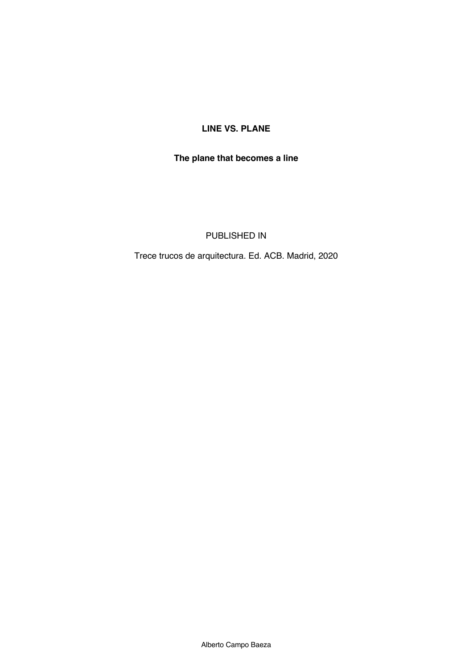# **LINE VS. PLANE**

# **The plane that becomes a line**

#### PUBLISHED IN

Trece trucos de arquitectura. Ed. ACB. Madrid, 2020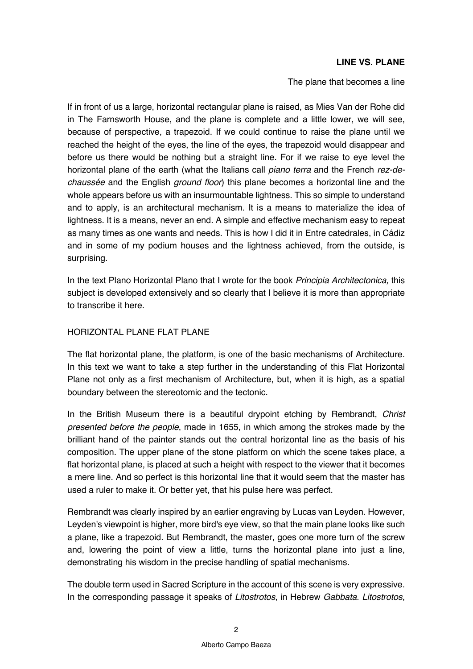#### **LINE VS. PLANE**

The plane that becomes a line

If in front of us a large, horizontal rectangular plane is raised, as Mies Van der Rohe did in The Farnsworth House, and the plane is complete and a little lower, we will see, because of perspective, a trapezoid. If we could continue to raise the plane until we reached the height of the eyes, the line of the eyes, the trapezoid would disappear and before us there would be nothing but a straight line. For if we raise to eye level the horizontal plane of the earth (what the Italians call *piano terra* and the French *rez-dechaussée* and the English *ground floor*) this plane becomes a horizontal line and the whole appears before us with an insurmountable lightness. This so simple to understand and to apply, is an architectural mechanism. It is a means to materialize the idea of lightness. It is a means, never an end. A simple and effective mechanism easy to repeat as many times as one wants and needs. This is how I did it in Entre catedrales, in Cádiz and in some of my podium houses and the lightness achieved, from the outside, is surprising.

In the text Plano Horizontal Plano that I wrote for the book *Principia Architectonica,* this subject is developed extensively and so clearly that I believe it is more than appropriate to transcribe it here.

#### HORIZONTAL PLANE FLAT PLANE

The flat horizontal plane, the platform, is one of the basic mechanisms of Architecture. In this text we want to take a step further in the understanding of this Flat Horizontal Plane not only as a first mechanism of Architecture, but, when it is high, as a spatial boundary between the stereotomic and the tectonic.

In the British Museum there is a beautiful drypoint etching by Rembrandt, *Christ presented before the people*, made in 1655, in which among the strokes made by the brilliant hand of the painter stands out the central horizontal line as the basis of his composition. The upper plane of the stone platform on which the scene takes place, a flat horizontal plane, is placed at such a height with respect to the viewer that it becomes a mere line. And so perfect is this horizontal line that it would seem that the master has used a ruler to make it. Or better yet, that his pulse here was perfect.

Rembrandt was clearly inspired by an earlier engraving by Lucas van Leyden. However, Leyden's viewpoint is higher, more bird's eye view, so that the main plane looks like such a plane, like a trapezoid. But Rembrandt, the master, goes one more turn of the screw and, lowering the point of view a little, turns the horizontal plane into just a line, demonstrating his wisdom in the precise handling of spatial mechanisms.

The double term used in Sacred Scripture in the account of this scene is very expressive. In the corresponding passage it speaks of *Litostrotos*, in Hebrew *Gabbata*. *Litostrotos*,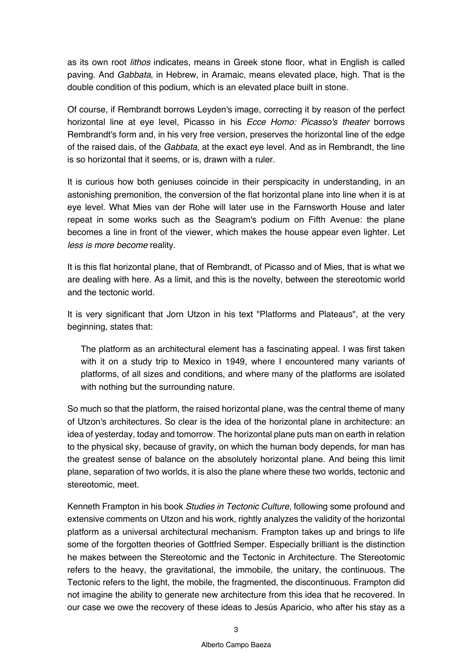as its own root *lithos* indicates, means in Greek stone floor, what in English is called paving. And *Gabbata*, in Hebrew, in Aramaic, means elevated place, high. That is the double condition of this podium, which is an elevated place built in stone.

Of course, if Rembrandt borrows Leyden's image, correcting it by reason of the perfect horizontal line at eye level, Picasso in his *Ecce Homo: Picasso's theater* borrows Rembrandt's form and, in his very free version, preserves the horizontal line of the edge of the raised dais, of the *Gabbata*, at the exact eye level. And as in Rembrandt, the line is so horizontal that it seems, or is, drawn with a ruler.

It is curious how both geniuses coincide in their perspicacity in understanding, in an astonishing premonition, the conversion of the flat horizontal plane into line when it is at eye level. What Mies van der Rohe will later use in the Farnsworth House and later repeat in some works such as the Seagram's podium on Fifth Avenue: the plane becomes a line in front of the viewer, which makes the house appear even lighter. Let *less is more become* reality.

It is this flat horizontal plane, that of Rembrandt, of Picasso and of Mies, that is what we are dealing with here. As a limit, and this is the novelty, between the stereotomic world and the tectonic world.

It is very significant that Jorn Utzon in his text "Platforms and Plateaus", at the very beginning, states that:

The platform as an architectural element has a fascinating appeal. I was first taken with it on a study trip to Mexico in 1949, where I encountered many variants of platforms, of all sizes and conditions, and where many of the platforms are isolated with nothing but the surrounding nature.

So much so that the platform, the raised horizontal plane, was the central theme of many of Utzon's architectures. So clear is the idea of the horizontal plane in architecture: an idea of yesterday, today and tomorrow. The horizontal plane puts man on earth in relation to the physical sky, because of gravity, on which the human body depends, for man has the greatest sense of balance on the absolutely horizontal plane. And being this limit plane, separation of two worlds, it is also the plane where these two worlds, tectonic and stereotomic, meet.

Kenneth Frampton in his book *Studies in Tectonic Culture*, following some profound and extensive comments on Utzon and his work, rightly analyzes the validity of the horizontal platform as a universal architectural mechanism. Frampton takes up and brings to life some of the forgotten theories of Gottfried Semper. Especially brilliant is the distinction he makes between the Stereotomic and the Tectonic in Architecture. The Stereotomic refers to the heavy, the gravitational, the immobile, the unitary, the continuous. The Tectonic refers to the light, the mobile, the fragmented, the discontinuous. Frampton did not imagine the ability to generate new architecture from this idea that he recovered. In our case we owe the recovery of these ideas to Jesús Aparicio, who after his stay as a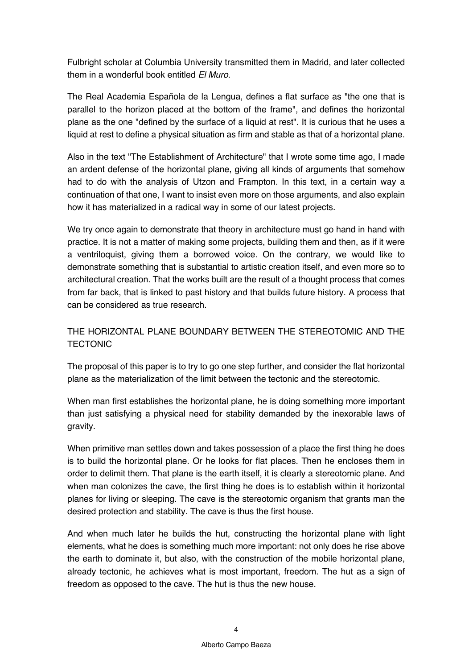Fulbright scholar at Columbia University transmitted them in Madrid, and later collected them in a wonderful book entitled *El Muro*.

The Real Academia Española de la Lengua, defines a flat surface as "the one that is parallel to the horizon placed at the bottom of the frame", and defines the horizontal plane as the one "defined by the surface of a liquid at rest". It is curious that he uses a liquid at rest to define a physical situation as firm and stable as that of a horizontal plane.

Also in the text "The Establishment of Architecture" that I wrote some time ago, I made an ardent defense of the horizontal plane, giving all kinds of arguments that somehow had to do with the analysis of Utzon and Frampton. In this text, in a certain way a continuation of that one, I want to insist even more on those arguments, and also explain how it has materialized in a radical way in some of our latest projects.

We try once again to demonstrate that theory in architecture must go hand in hand with practice. It is not a matter of making some projects, building them and then, as if it were a ventriloquist, giving them a borrowed voice. On the contrary, we would like to demonstrate something that is substantial to artistic creation itself, and even more so to architectural creation. That the works built are the result of a thought process that comes from far back, that is linked to past history and that builds future history. A process that can be considered as true research.

# THE HORIZONTAL PLANE BOUNDARY BETWEEN THE STEREOTOMIC AND THE **TECTONIC**

The proposal of this paper is to try to go one step further, and consider the flat horizontal plane as the materialization of the limit between the tectonic and the stereotomic.

When man first establishes the horizontal plane, he is doing something more important than just satisfying a physical need for stability demanded by the inexorable laws of gravity.

When primitive man settles down and takes possession of a place the first thing he does is to build the horizontal plane. Or he looks for flat places. Then he encloses them in order to delimit them. That plane is the earth itself, it is clearly a stereotomic plane. And when man colonizes the cave, the first thing he does is to establish within it horizontal planes for living or sleeping. The cave is the stereotomic organism that grants man the desired protection and stability. The cave is thus the first house.

And when much later he builds the hut, constructing the horizontal plane with light elements, what he does is something much more important: not only does he rise above the earth to dominate it, but also, with the construction of the mobile horizontal plane, already tectonic, he achieves what is most important, freedom. The hut as a sign of freedom as opposed to the cave. The hut is thus the new house.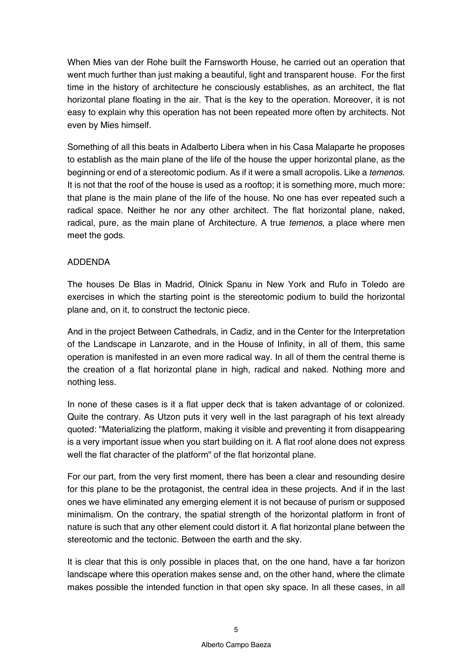When Mies van der Rohe built the Farnsworth House, he carried out an operation that went much further than just making a beautiful, light and transparent house. For the first time in the history of architecture he consciously establishes, as an architect, the flat horizontal plane floating in the air. That is the key to the operation. Moreover, it is not easy to explain why this operation has not been repeated more often by architects. Not even by Mies himself.

Something of all this beats in Adalberto Libera when in his Casa Malaparte he proposes to establish as the main plane of the life of the house the upper horizontal plane, as the beginning or end of a stereotomic podium. As if it were a small acropolis. Like a *temenos*. It is not that the roof of the house is used as a rooftop; it is something more, much more: that plane is the main plane of the life of the house. No one has ever repeated such a radical space. Neither he nor any other architect. The flat horizontal plane, naked, radical, pure, as the main plane of Architecture. A true *temenos*, a place where men meet the gods.

### ADDENDA

The houses De Blas in Madrid, Olnick Spanu in New York and Rufo in Toledo are exercises in which the starting point is the stereotomic podium to build the horizontal plane and, on it, to construct the tectonic piece.

And in the project Between Cathedrals, in Cadiz, and in the Center for the Interpretation of the Landscape in Lanzarote, and in the House of Infinity, in all of them, this same operation is manifested in an even more radical way. In all of them the central theme is the creation of a flat horizontal plane in high, radical and naked. Nothing more and nothing less.

In none of these cases is it a flat upper deck that is taken advantage of or colonized. Quite the contrary. As Utzon puts it very well in the last paragraph of his text already quoted: "Materializing the platform, making it visible and preventing it from disappearing is a very important issue when you start building on it. A flat roof alone does not express well the flat character of the platform" of the flat horizontal plane.

For our part, from the very first moment, there has been a clear and resounding desire for this plane to be the protagonist, the central idea in these projects. And if in the last ones we have eliminated any emerging element it is not because of purism or supposed minimalism. On the contrary, the spatial strength of the horizontal platform in front of nature is such that any other element could distort it. A flat horizontal plane between the stereotomic and the tectonic. Between the earth and the sky.

It is clear that this is only possible in places that, on the one hand, have a far horizon landscape where this operation makes sense and, on the other hand, where the climate makes possible the intended function in that open sky space. In all these cases, in all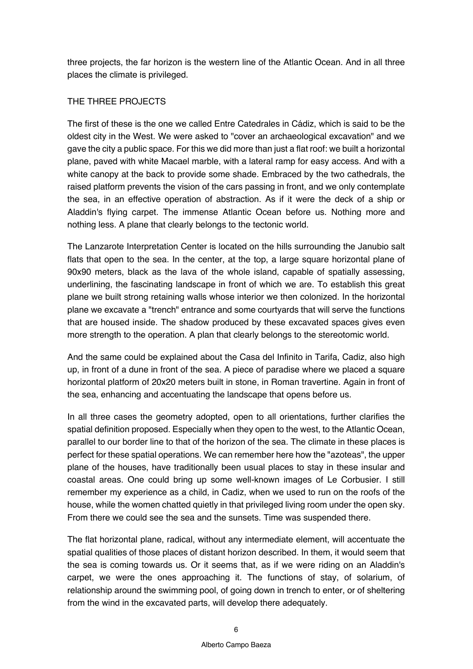three projects, the far horizon is the western line of the Atlantic Ocean. And in all three places the climate is privileged.

### THE THREE PROJECTS

The first of these is the one we called Entre Catedrales in Cádiz, which is said to be the oldest city in the West. We were asked to "cover an archaeological excavation" and we gave the city a public space. For this we did more than just a flat roof: we built a horizontal plane, paved with white Macael marble, with a lateral ramp for easy access. And with a white canopy at the back to provide some shade. Embraced by the two cathedrals, the raised platform prevents the vision of the cars passing in front, and we only contemplate the sea, in an effective operation of abstraction. As if it were the deck of a ship or Aladdin's flying carpet. The immense Atlantic Ocean before us. Nothing more and nothing less. A plane that clearly belongs to the tectonic world.

The Lanzarote Interpretation Center is located on the hills surrounding the Janubio salt flats that open to the sea. In the center, at the top, a large square horizontal plane of 90x90 meters, black as the lava of the whole island, capable of spatially assessing, underlining, the fascinating landscape in front of which we are. To establish this great plane we built strong retaining walls whose interior we then colonized. In the horizontal plane we excavate a "trench" entrance and some courtyards that will serve the functions that are housed inside. The shadow produced by these excavated spaces gives even more strength to the operation. A plan that clearly belongs to the stereotomic world.

And the same could be explained about the Casa del Infinito in Tarifa, Cadiz, also high up, in front of a dune in front of the sea. A piece of paradise where we placed a square horizontal platform of 20x20 meters built in stone, in Roman travertine. Again in front of the sea, enhancing and accentuating the landscape that opens before us.

In all three cases the geometry adopted, open to all orientations, further clarifies the spatial definition proposed. Especially when they open to the west, to the Atlantic Ocean, parallel to our border line to that of the horizon of the sea. The climate in these places is perfect for these spatial operations. We can remember here how the "azoteas", the upper plane of the houses, have traditionally been usual places to stay in these insular and coastal areas. One could bring up some well-known images of Le Corbusier. I still remember my experience as a child, in Cadiz, when we used to run on the roofs of the house, while the women chatted quietly in that privileged living room under the open sky. From there we could see the sea and the sunsets. Time was suspended there.

The flat horizontal plane, radical, without any intermediate element, will accentuate the spatial qualities of those places of distant horizon described. In them, it would seem that the sea is coming towards us. Or it seems that, as if we were riding on an Aladdin's carpet, we were the ones approaching it. The functions of stay, of solarium, of relationship around the swimming pool, of going down in trench to enter, or of sheltering from the wind in the excavated parts, will develop there adequately.